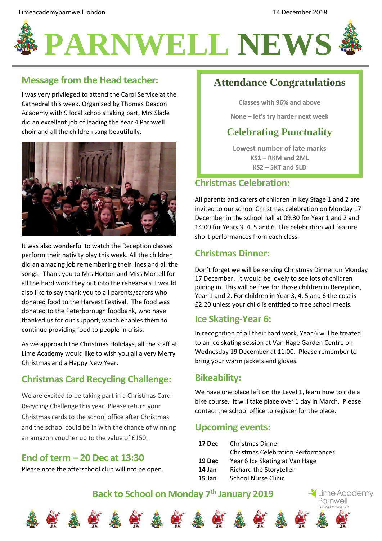

# **PARNWELL NEWS**

#### **Message from the Head teacher:**

I was very privileged to attend the Carol Service at the Cathedral this week. Organised by Thomas Deacon Academy with 9 local schools taking part, Mrs Slade did an excellent job of leading the Year 4 Parnwell choir and all the children sang beautifully.



It was also wonderful to watch the Reception classes perform their nativity play this week. All the children did an amazing job remembering their lines and all the songs. Thank you to Mrs Horton and Miss Mortell for all the hard work they put into the rehearsals. I would also like to say thank you to all parents/carers who donated food to the Harvest Festival. The food was donated to the Peterborough foodbank, who have thanked us for our support, which enables them to continue providing food to people in crisis.

As we approach the Christmas Holidays, all the staff at Lime Academy would like to wish you all a very Merry Christmas and a Happy New Year.

## **Christmas Card Recycling Challenge:**

We are excited to be taking part in a Christmas Card Recycling Challenge this year. Please return your Christmas cards to the school office after Christmas and the school could be in with the chance of winning an amazon voucher up to the value of £150.

#### **End of term – 20 Dec at 13:30**

Please note the afterschool club will not be open.

# **Attendance Congratulations**

**Classes with 96% and above**

**None – let's try harder next week**

### **Celebrating Punctuality**

**Lowest number of late marks KS1 – RKM and 2ML KS2 – 5KT and 5LD**

#### **Christmas Celebration:**

All parents and carers of children in Key Stage 1 and 2 are invited to our school Christmas celebration on Monday 17 December in the school hall at 09:30 for Year 1 and 2 and 14:00 for Years 3, 4, 5 and 6. The celebration will feature short performances from each class.

#### **Christmas Dinner:**

Don't forget we will be serving Christmas Dinner on Monday 17 December. It would be lovely to see lots of children joining in. This will be free for those children in Reception, Year 1 and 2. For children in Year 3, 4, 5 and 6 the cost is £2.20 unless your child is entitled to free school meals.

#### **Ice Skating-Year 6:**

In recognition of all their hard work, Year 6 will be treated to an ice skating session at Van Hage Garden Centre on Wednesday 19 December at 11:00. Please remember to bring your warm jackets and gloves.

#### **Bikeability:**

We have one place left on the Level 1, learn how to ride a bike course. It will take place over 1 day in March. Please contact the school office to register for the place.

#### **Upcoming events:**

| 17 Dec | Christmas Dinner                          |
|--------|-------------------------------------------|
|        | <b>Christmas Celebration Performances</b> |
| 19 Dec | Year 6 Ice Skating at Van Hage            |
| 14 Jan | Richard the Storyteller                   |
| 15 Jan | <b>School Nurse Clinic</b>                |















Lime Academy